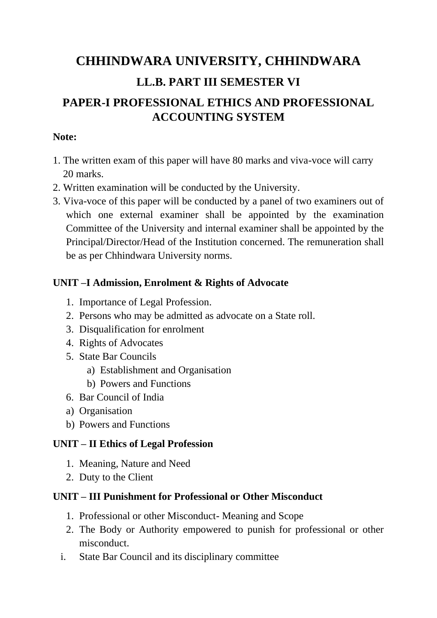## **CHHINDWARA UNIVERSITY, CHHINDWARA LL.B. PART III SEMESTER VI**

### **PAPER-I PROFESSIONAL ETHICS AND PROFESSIONAL ACCOUNTING SYSTEM**

#### **Note:**

- 1. The written exam of this paper will have 80 marks and viva-voce will carry 20 marks.
- 2. Written examination will be conducted by the University.
- 3. Viva-voce of this paper will be conducted by a panel of two examiners out of which one external examiner shall be appointed by the examination Committee of the University and internal examiner shall be appointed by the Principal/Director/Head of the Institution concerned. The remuneration shall be as per Chhindwara University norms.

#### **UNIT –I Admission, Enrolment & Rights of Advocate**

- 1. Importance of Legal Profession.
- 2. Persons who may be admitted as advocate on a State roll.
- 3. Disqualification for enrolment
- 4. Rights of Advocates
- 5. State Bar Councils
	- a) Establishment and Organisation
	- b) Powers and Functions
- 6. Bar Council of India
- a) Organisation
- b) Powers and Functions

#### **UNIT – II Ethics of Legal Profession**

- 1. Meaning, Nature and Need
- 2. Duty to the Client

#### **UNIT – III Punishment for Professional or Other Misconduct**

- 1. Professional or other Misconduct- Meaning and Scope
- 2. The Body or Authority empowered to punish for professional or other misconduct.
- i. State Bar Council and its disciplinary committee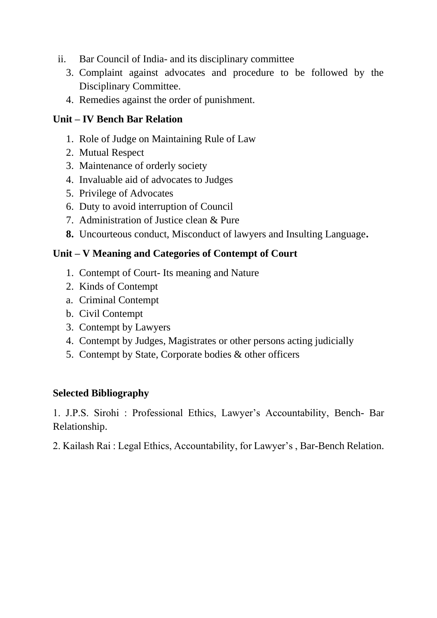- ii. Bar Council of India- and its disciplinary committee
	- 3. Complaint against advocates and procedure to be followed by the Disciplinary Committee.
	- 4. Remedies against the order of punishment.

#### **Unit – IV Bench Bar Relation**

- 1. Role of Judge on Maintaining Rule of Law
- 2. Mutual Respect
- 3. Maintenance of orderly society
- 4. Invaluable aid of advocates to Judges
- 5. Privilege of Advocates
- 6. Duty to avoid interruption of Council
- 7. Administration of Justice clean & Pure
- **8.** Uncourteous conduct, Misconduct of lawyers and Insulting Language**.**

#### **Unit – V Meaning and Categories of Contempt of Court**

- 1. Contempt of Court- Its meaning and Nature
- 2. Kinds of Contempt
- a. Criminal Contempt
- b. Civil Contempt
- 3. Contempt by Lawyers
- 4. Contempt by Judges, Magistrates or other persons acting judicially
- 5. Contempt by State, Corporate bodies & other officers

#### **Selected Bibliography**

1. J.P.S. Sirohi : Professional Ethics, Lawyer's Accountability, Bench- Bar Relationship.

2. Kailash Rai : Legal Ethics, Accountability, for Lawyer's , Bar-Bench Relation.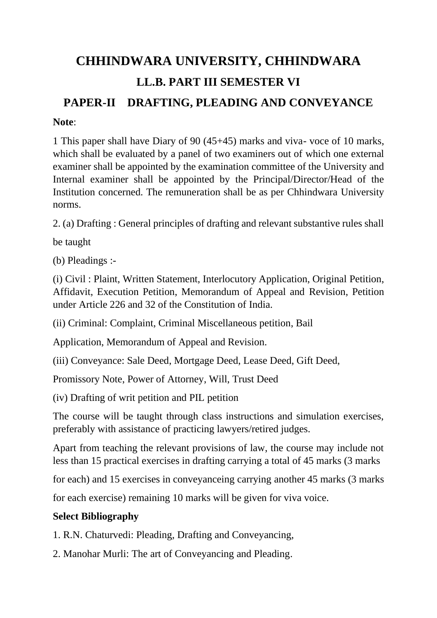# **CHHINDWARA UNIVERSITY, CHHINDWARA LL.B. PART III SEMESTER VI**

### **PAPER-II DRAFTING, PLEADING AND CONVEYANCE**

#### **Note**:

1 This paper shall have Diary of 90 (45+45) marks and viva- voce of 10 marks, which shall be evaluated by a panel of two examiners out of which one external examiner shall be appointed by the examination committee of the University and Internal examiner shall be appointed by the Principal/Director/Head of the Institution concerned. The remuneration shall be as per Chhindwara University norms.

2. (a) Drafting : General principles of drafting and relevant substantive rules shall

be taught

(b) Pleadings :-

(i) Civil : Plaint, Written Statement, Interlocutory Application, Original Petition, Affidavit, Execution Petition, Memorandum of Appeal and Revision, Petition under Article 226 and 32 of the Constitution of India.

(ii) Criminal: Complaint, Criminal Miscellaneous petition, Bail

Application, Memorandum of Appeal and Revision.

(iii) Conveyance: Sale Deed, Mortgage Deed, Lease Deed, Gift Deed,

Promissory Note, Power of Attorney, Will, Trust Deed

(iv) Drafting of writ petition and PIL petition

The course will be taught through class instructions and simulation exercises, preferably with assistance of practicing lawyers/retired judges.

Apart from teaching the relevant provisions of law, the course may include not less than 15 practical exercises in drafting carrying a total of 45 marks (3 marks

for each) and 15 exercises in conveyanceing carrying another 45 marks (3 marks

for each exercise) remaining 10 marks will be given for viva voice.

#### **Select Bibliography**

1. R.N. Chaturvedi: Pleading, Drafting and Conveyancing,

2. Manohar Murli: The art of Conveyancing and Pleading.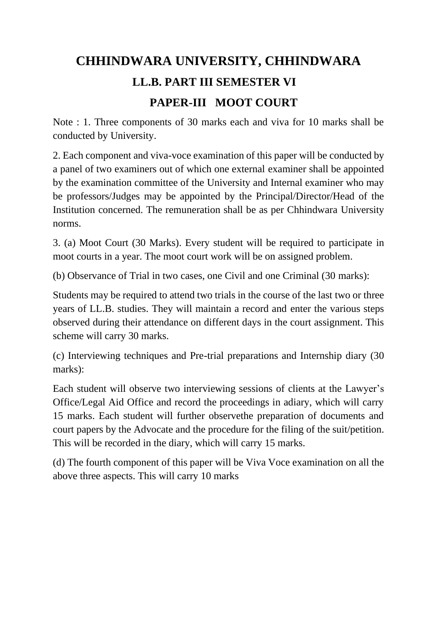## **CHHINDWARA UNIVERSITY, CHHINDWARA LL.B. PART III SEMESTER VI PAPER-III MOOT COURT**

Note : 1. Three components of 30 marks each and viva for 10 marks shall be conducted by University.

2. Each component and viva-voce examination of this paper will be conducted by a panel of two examiners out of which one external examiner shall be appointed by the examination committee of the University and Internal examiner who may be professors/Judges may be appointed by the Principal/Director/Head of the Institution concerned. The remuneration shall be as per Chhindwara University norms.

3. (a) Moot Court (30 Marks). Every student will be required to participate in moot courts in a year. The moot court work will be on assigned problem.

(b) Observance of Trial in two cases, one Civil and one Criminal (30 marks):

Students may be required to attend two trials in the course of the last two or three years of LL.B. studies. They will maintain a record and enter the various steps observed during their attendance on different days in the court assignment. This scheme will carry 30 marks.

(c) Interviewing techniques and Pre-trial preparations and Internship diary (30 marks):

Each student will observe two interviewing sessions of clients at the Lawyer's Office/Legal Aid Office and record the proceedings in adiary, which will carry 15 marks. Each student will further observethe preparation of documents and court papers by the Advocate and the procedure for the filing of the suit/petition. This will be recorded in the diary, which will carry 15 marks.

(d) The fourth component of this paper will be Viva Voce examination on all the above three aspects. This will carry 10 marks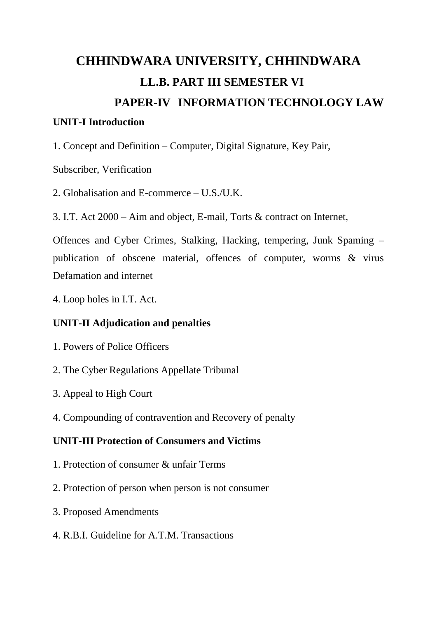# **CHHINDWARA UNIVERSITY, CHHINDWARA LL.B. PART III SEMESTER VI PAPER-IV INFORMATION TECHNOLOGY LAW**

#### **UNIT-I Introduction**

1. Concept and Definition – Computer, Digital Signature, Key Pair,

Subscriber, Verification

2. Globalisation and E-commerce – U.S./U.K.

3. I.T. Act 2000 – Aim and object, E-mail, Torts & contract on Internet,

Offences and Cyber Crimes, Stalking, Hacking, tempering, Junk Spaming – publication of obscene material, offences of computer, worms & virus Defamation and internet

4. Loop holes in I.T. Act.

#### **UNIT-II Adjudication and penalties**

- 1. Powers of Police Officers
- 2. The Cyber Regulations Appellate Tribunal
- 3. Appeal to High Court
- 4. Compounding of contravention and Recovery of penalty

#### **UNIT-III Protection of Consumers and Victims**

- 1. Protection of consumer & unfair Terms
- 2. Protection of person when person is not consumer
- 3. Proposed Amendments
- 4. R.B.I. Guideline for A.T.M. Transactions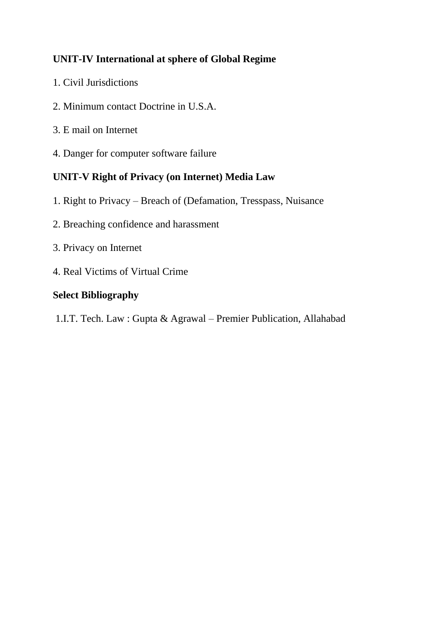#### **UNIT-IV International at sphere of Global Regime**

- 1. Civil Jurisdictions
- 2. Minimum contact Doctrine in U.S.A.
- 3. E mail on Internet
- 4. Danger for computer software failure

#### **UNIT-V Right of Privacy (on Internet) Media Law**

- 1. Right to Privacy Breach of (Defamation, Tresspass, Nuisance
- 2. Breaching confidence and harassment
- 3. Privacy on Internet
- 4. Real Victims of Virtual Crime

#### **Select Bibliography**

1.I.T. Tech. Law : Gupta & Agrawal – Premier Publication, Allahabad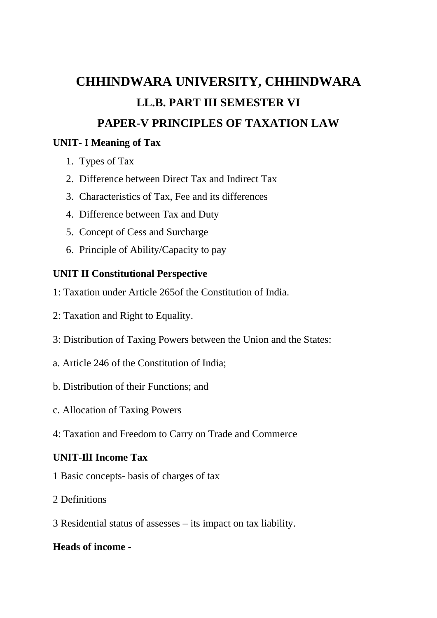### **CHHINDWARA UNIVERSITY, CHHINDWARA LL.B. PART III SEMESTER VI PAPER-V PRINCIPLES OF TAXATION LAW**

#### **UNIT- I Meaning of Tax**

- 1. Types of Tax
- 2. Difference between Direct Tax and Indirect Tax
- 3. Characteristics of Tax, Fee and its differences
- 4. Difference between Tax and Duty
- 5. Concept of Cess and Surcharge
- 6. Principle of Ability/Capacity to pay

#### **UNIT II Constitutional Perspective**

- 1: Taxation under Article 265of the Constitution of India.
- 2: Taxation and Right to Equality.
- 3: Distribution of Taxing Powers between the Union and the States:
- a. Article 246 of the Constitution of India;
- b. Distribution of their Functions; and
- c. Allocation of Taxing Powers
- 4: Taxation and Freedom to Carry on Trade and Commerce

#### **UNIT-IlI Income Tax**

- 1 Basic concepts- basis of charges of tax
- 2 Definitions
- 3 Residential status of assesses its impact on tax liability.

#### **Heads of income -**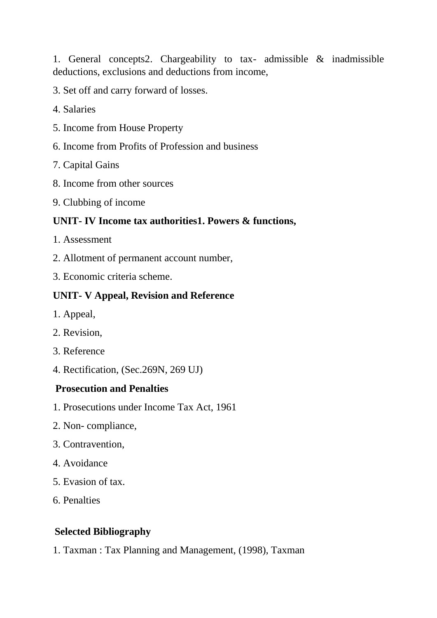1. General concepts2. Chargeability to tax- admissible & inadmissible deductions, exclusions and deductions from income,

3. Set off and carry forward of losses.

- 4. Salaries
- 5. Income from House Property
- 6. Income from Profits of Profession and business
- 7. Capital Gains
- 8. Income from other sources
- 9. Clubbing of income

#### **UNIT- IV Income tax authorities1. Powers & functions,**

- 1. Assessment
- 2. Allotment of permanent account number,
- 3. Economic criteria scheme.

#### **UNIT- V Appeal, Revision and Reference**

- 1. Appeal,
- 2. Revision,
- 3. Reference
- 4. Rectification, (Sec.269N, 269 UJ)

#### **Prosecution and Penalties**

- 1. Prosecutions under Income Tax Act, 1961
- 2. Non- compliance,
- 3. Contravention,
- 4. Avoidance
- 5. Evasion of tax.
- 6. Penalties

#### **Selected Bibliography**

1. Taxman : Tax Planning and Management, (1998), Taxman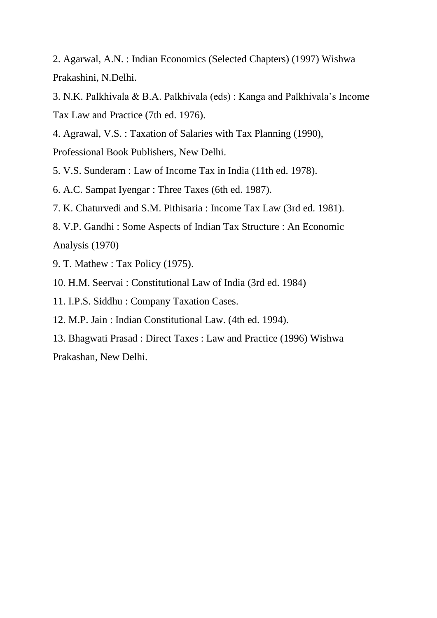2. Agarwal, A.N. : Indian Economics (Selected Chapters) (1997) Wishwa Prakashini, N.Delhi.

3. N.K. Palkhivala & B.A. Palkhivala (eds) : Kanga and Palkhivala's Income Tax Law and Practice (7th ed. 1976).

4. Agrawal, V.S. : Taxation of Salaries with Tax Planning (1990),

Professional Book Publishers, New Delhi.

5. V.S. Sunderam : Law of Income Tax in India (11th ed. 1978).

6. A.C. Sampat Iyengar : Three Taxes (6th ed. 1987).

7. K. Chaturvedi and S.M. Pithisaria : Income Tax Law (3rd ed. 1981).

8. V.P. Gandhi : Some Aspects of Indian Tax Structure : An Economic Analysis (1970)

9. T. Mathew : Tax Policy (1975).

10. H.M. Seervai : Constitutional Law of India (3rd ed. 1984)

11. I.P.S. Siddhu : Company Taxation Cases.

12. M.P. Jain : Indian Constitutional Law. (4th ed. 1994).

13. Bhagwati Prasad : Direct Taxes : Law and Practice (1996) Wishwa

Prakashan, New Delhi.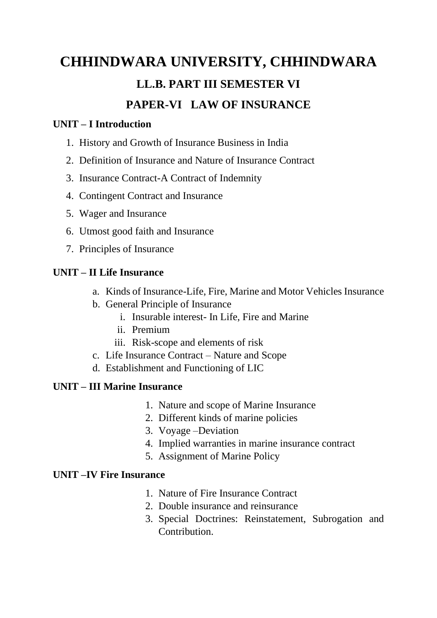## **CHHINDWARA UNIVERSITY, CHHINDWARA LL.B. PART III SEMESTER VI PAPER-VI LAW OF INSURANCE**

#### **UNIT – I Introduction**

- 1. History and Growth of Insurance Business in India
- 2. Definition of Insurance and Nature of Insurance Contract
- 3. Insurance Contract-A Contract of Indemnity
- 4. Contingent Contract and Insurance
- 5. Wager and Insurance
- 6. Utmost good faith and Insurance
- 7. Principles of Insurance

#### **UNIT – II Life Insurance**

- a. Kinds of Insurance-Life, Fire, Marine and Motor Vehicles Insurance
- b. General Principle of Insurance
	- i. Insurable interest- In Life, Fire and Marine
	- ii. Premium
	- iii. Risk-scope and elements of risk
- c. Life Insurance Contract Nature and Scope
- d. Establishment and Functioning of LIC

#### **UNIT – III Marine Insurance**

- 1. Nature and scope of Marine Insurance
- 2. Different kinds of marine policies
- 3. Voyage –Deviation
- 4. Implied warranties in marine insurance contract
- 5. Assignment of Marine Policy

#### **UNIT –IV Fire Insurance**

- 1. Nature of Fire Insurance Contract
- 2. Double insurance and reinsurance
- 3. Special Doctrines: Reinstatement, Subrogation and Contribution.